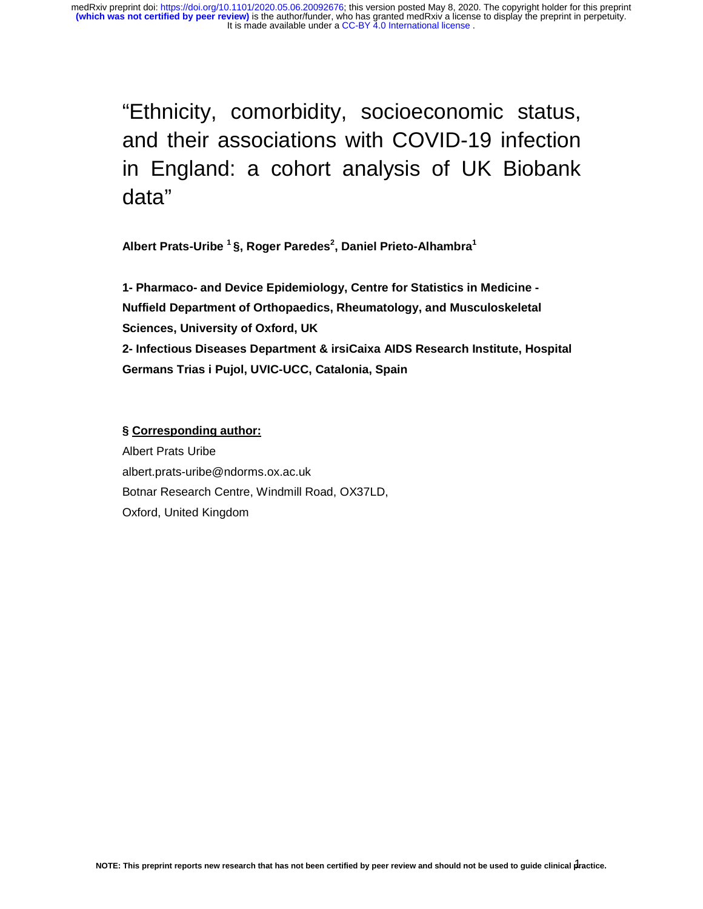"Ethnicity, comorbidity, socioeconomic status, and their associations with COVID-19 infection in England: a cohort analysis of UK Biobank data"

**Albert Prats-Uribe 1 §, Roger Paredes2 , Daniel Prieto-Alhambra<sup>1</sup>** 

**1- Pharmaco- and Device Epidemiology, Centre for Statistics in Medicine - Nuffield Department of Orthopaedics, Rheumatology, and Musculoskeletal Sciences, University of Oxford, UK 2- Infectious Diseases Department & irsiCaixa AIDS Research Institute, Hospital Germans Trias i Pujol, UVIC-UCC, Catalonia, Spain** 

# **§ Corresponding author:**

Albert Prats Uribe albert.prats-uribe@ndorms.ox.ac.uk Botnar Research Centre, Windmill Road, OX37LD, Oxford, United Kingdom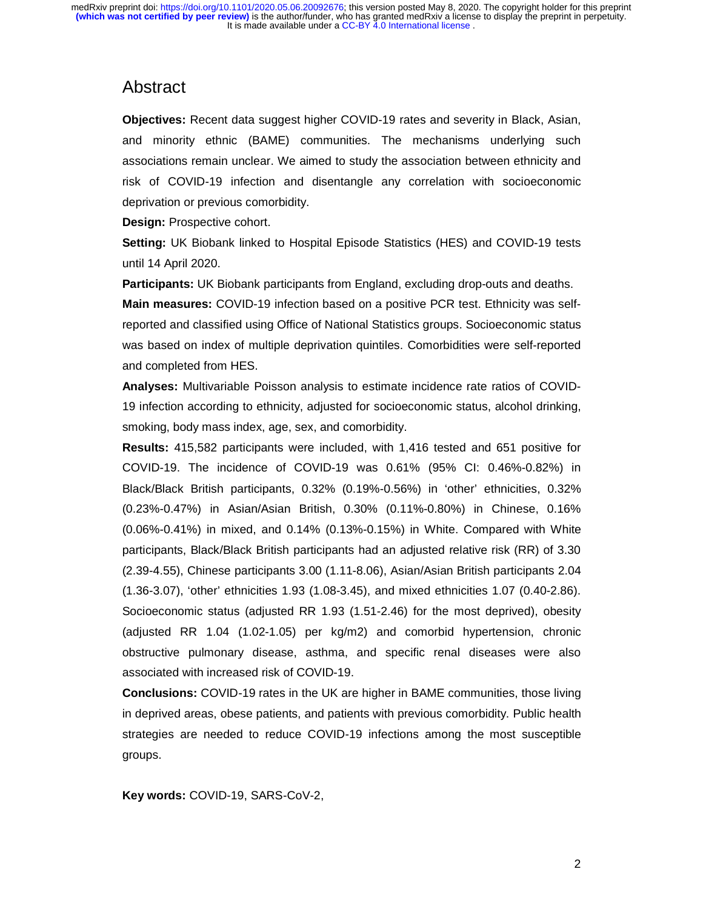# Abstract

**Objectives:** Recent data suggest higher COVID-19 rates and severity in Black, Asian, and minority ethnic (BAME) communities. The mechanisms underlying such associations remain unclear. We aimed to study the association between ethnicity and risk of COVID-19 infection and disentangle any correlation with socioeconomic deprivation or previous comorbidity.

**Design:** Prospective cohort.

**Setting:** UK Biobank linked to Hospital Episode Statistics (HES) and COVID-19 tests until 14 April 2020.

**Participants:** UK Biobank participants from England, excluding drop-outs and deaths. **Main measures:** COVID-19 infection based on a positive PCR test. Ethnicity was selfreported and classified using Office of National Statistics groups. Socioeconomic status was based on index of multiple deprivation quintiles. Comorbidities were self-reported and completed from HES.

**Analyses:** Multivariable Poisson analysis to estimate incidence rate ratios of COVID-19 infection according to ethnicity, adjusted for socioeconomic status, alcohol drinking, smoking, body mass index, age, sex, and comorbidity.

**Results:** 415,582 participants were included, with 1,416 tested and 651 positive for COVID-19. The incidence of COVID-19 was 0.61% (95% CI: 0.46%-0.82%) in Black/Black British participants, 0.32% (0.19%-0.56%) in 'other' ethnicities, 0.32% (0.23%-0.47%) in Asian/Asian British, 0.30% (0.11%-0.80%) in Chinese, 0.16% (0.06%-0.41%) in mixed, and 0.14% (0.13%-0.15%) in White. Compared with White participants, Black/Black British participants had an adjusted relative risk (RR) of 3.30 (2.39-4.55), Chinese participants 3.00 (1.11-8.06), Asian/Asian British participants 2.04 (1.36-3.07), 'other' ethnicities 1.93 (1.08-3.45), and mixed ethnicities 1.07 (0.40-2.86). Socioeconomic status (adjusted RR 1.93 (1.51-2.46) for the most deprived), obesity (adjusted RR 1.04 (1.02-1.05) per kg/m2) and comorbid hypertension, chronic obstructive pulmonary disease, asthma, and specific renal diseases were also associated with increased risk of COVID-19.

**Conclusions:** COVID-19 rates in the UK are higher in BAME communities, those living in deprived areas, obese patients, and patients with previous comorbidity. Public health strategies are needed to reduce COVID-19 infections among the most susceptible groups.

**Key words:** COVID-19, SARS-CoV-2,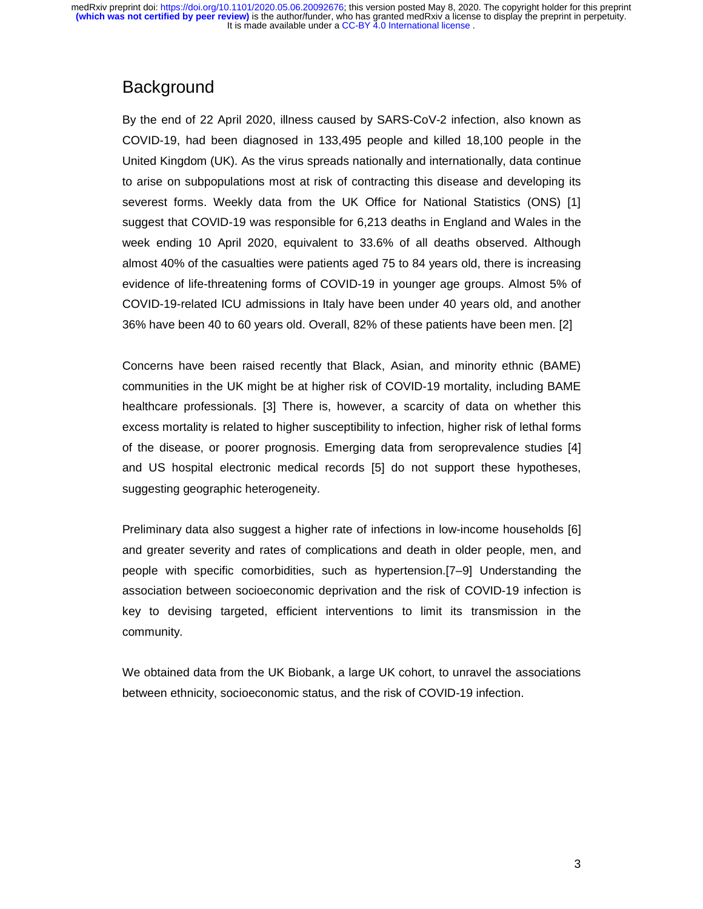# **Background**

By the end of 22 April 2020, illness caused by SARS-CoV-2 infection, also known as COVID-19, had been diagnosed in 133,495 people and killed 18,100 people in the United Kingdom (UK). As the virus spreads nationally and internationally, data continue to arise on subpopulations most at risk of contracting this disease and developing its severest forms. Weekly data from the UK Office for National Statistics (ONS) [1] suggest that COVID-19 was responsible for 6,213 deaths in England and Wales in the week ending 10 April 2020, equivalent to 33.6% of all deaths observed. Although almost 40% of the casualties were patients aged 75 to 84 years old, there is increasing evidence of life-threatening forms of COVID-19 in younger age groups. Almost 5% of COVID-19-related ICU admissions in Italy have been under 40 years old, and another 36% have been 40 to 60 years old. Overall, 82% of these patients have been men. [2]

Concerns have been raised recently that Black, Asian, and minority ethnic (BAME) communities in the UK might be at higher risk of COVID-19 mortality, including BAME healthcare professionals. [3] There is, however, a scarcity of data on whether this excess mortality is related to higher susceptibility to infection, higher risk of lethal forms of the disease, or poorer prognosis. Emerging data from seroprevalence studies [4] and US hospital electronic medical records [5] do not support these hypotheses, suggesting geographic heterogeneity.

Preliminary data also suggest a higher rate of infections in low-income households [6] and greater severity and rates of complications and death in older people, men, and people with specific comorbidities, such as hypertension.[7–9] Understanding the association between socioeconomic deprivation and the risk of COVID-19 infection is key to devising targeted, efficient interventions to limit its transmission in the community.

We obtained data from the UK Biobank, a large UK cohort, to unravel the associations between ethnicity, socioeconomic status, and the risk of COVID-19 infection.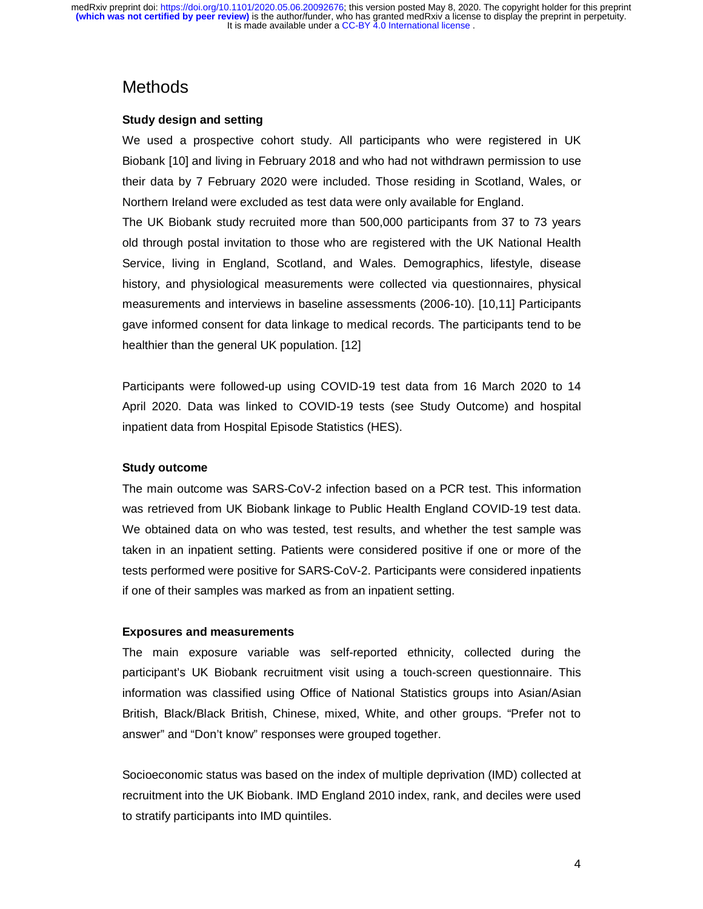# **Methods**

# **Study design and setting**

We used a prospective cohort study. All participants who were registered in UK Biobank [10] and living in February 2018 and who had not withdrawn permission to use their data by 7 February 2020 were included. Those residing in Scotland, Wales, or Northern Ireland were excluded as test data were only available for England.

The UK Biobank study recruited more than 500,000 participants from 37 to 73 years old through postal invitation to those who are registered with the UK National Health Service, living in England, Scotland, and Wales. Demographics, lifestyle, disease history, and physiological measurements were collected via questionnaires, physical measurements and interviews in baseline assessments (2006-10). [10,11] Participants gave informed consent for data linkage to medical records. The participants tend to be healthier than the general UK population. [12]

Participants were followed-up using COVID-19 test data from 16 March 2020 to 14 April 2020. Data was linked to COVID-19 tests (see Study Outcome) and hospital inpatient data from Hospital Episode Statistics (HES).

## **Study outcome**

The main outcome was SARS-CoV-2 infection based on a PCR test. This information was retrieved from UK Biobank linkage to Public Health England COVID-19 test data. We obtained data on who was tested, test results, and whether the test sample was taken in an inpatient setting. Patients were considered positive if one or more of the tests performed were positive for SARS-CoV-2. Participants were considered inpatients if one of their samples was marked as from an inpatient setting.

## **Exposures and measurements**

The main exposure variable was self-reported ethnicity, collected during the participant's UK Biobank recruitment visit using a touch-screen questionnaire. This information was classified using Office of National Statistics groups into Asian/Asian British, Black/Black British, Chinese, mixed, White, and other groups. "Prefer not to answer" and "Don't know" responses were grouped together.

Socioeconomic status was based on the index of multiple deprivation (IMD) collected at recruitment into the UK Biobank. IMD England 2010 index, rank, and deciles were used to stratify participants into IMD quintiles.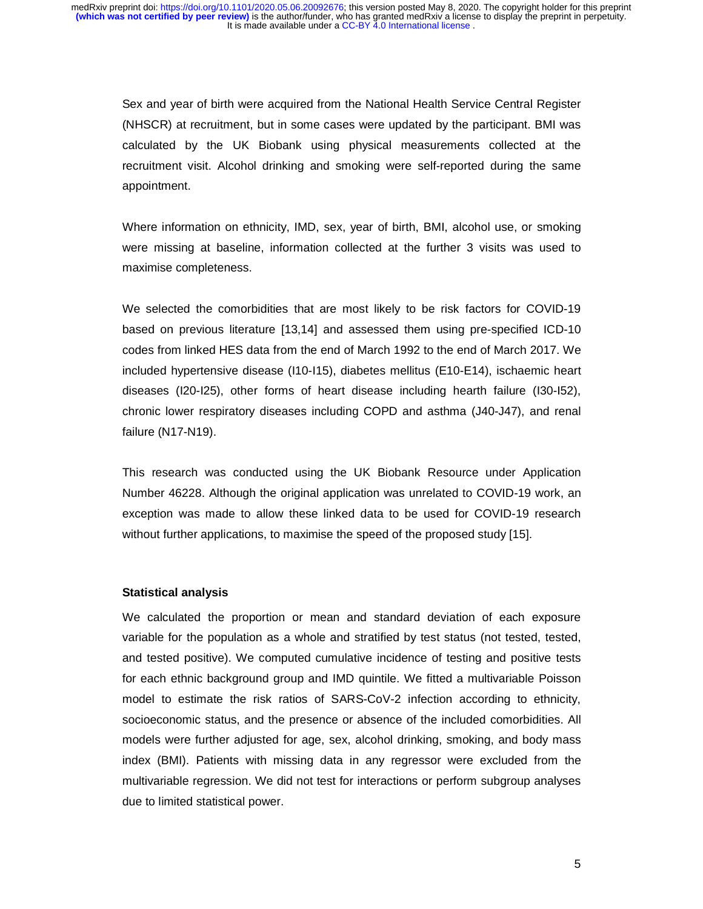Sex and year of birth were acquired from the National Health Service Central Register (NHSCR) at recruitment, but in some cases were updated by the participant. BMI was calculated by the UK Biobank using physical measurements collected at the recruitment visit. Alcohol drinking and smoking were self-reported during the same appointment.

Where information on ethnicity, IMD, sex, year of birth, BMI, alcohol use, or smoking were missing at baseline, information collected at the further 3 visits was used to maximise completeness.

We selected the comorbidities that are most likely to be risk factors for COVID-19 based on previous literature [13,14] and assessed them using pre-specified ICD-10 codes from linked HES data from the end of March 1992 to the end of March 2017. We included hypertensive disease (I10-I15), diabetes mellitus (E10-E14), ischaemic heart diseases (I20-I25), other forms of heart disease including hearth failure (I30-I52), chronic lower respiratory diseases including COPD and asthma (J40-J47), and renal failure (N17-N19).

This research was conducted using the UK Biobank Resource under Application Number 46228. Although the original application was unrelated to COVID-19 work, an exception was made to allow these linked data to be used for COVID-19 research without further applications, to maximise the speed of the proposed study [15].

#### **Statistical analysis**

We calculated the proportion or mean and standard deviation of each exposure variable for the population as a whole and stratified by test status (not tested, tested, and tested positive). We computed cumulative incidence of testing and positive tests for each ethnic background group and IMD quintile. We fitted a multivariable Poisson model to estimate the risk ratios of SARS-CoV-2 infection according to ethnicity, socioeconomic status, and the presence or absence of the included comorbidities. All models were further adjusted for age, sex, alcohol drinking, smoking, and body mass index (BMI). Patients with missing data in any regressor were excluded from the multivariable regression. We did not test for interactions or perform subgroup analyses due to limited statistical power.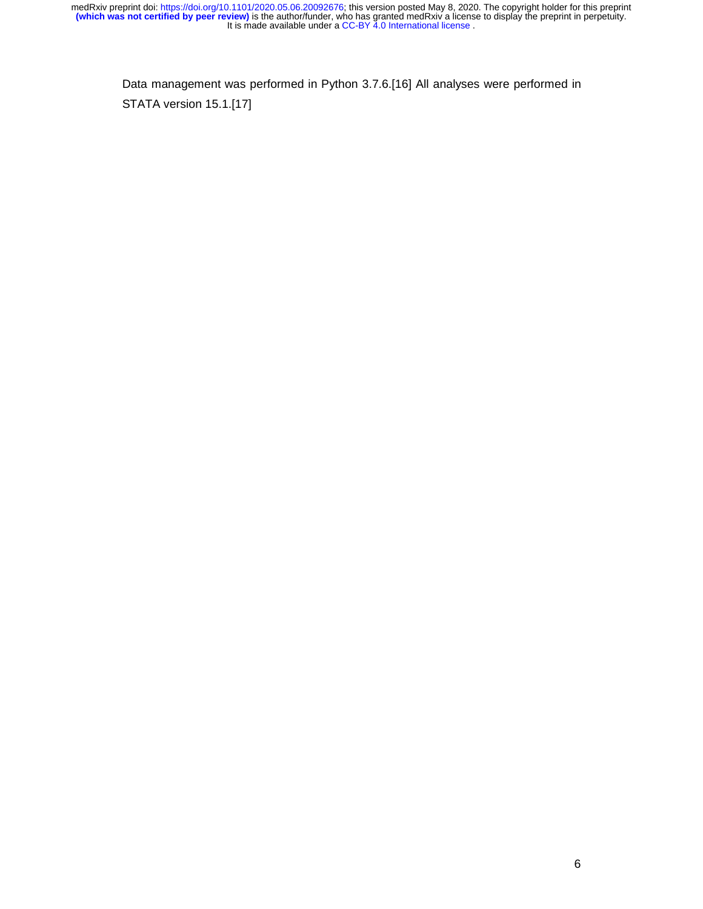Data management was performed in Python 3.7.6.[16] All analyses were performed in STATA version 15.1.[17]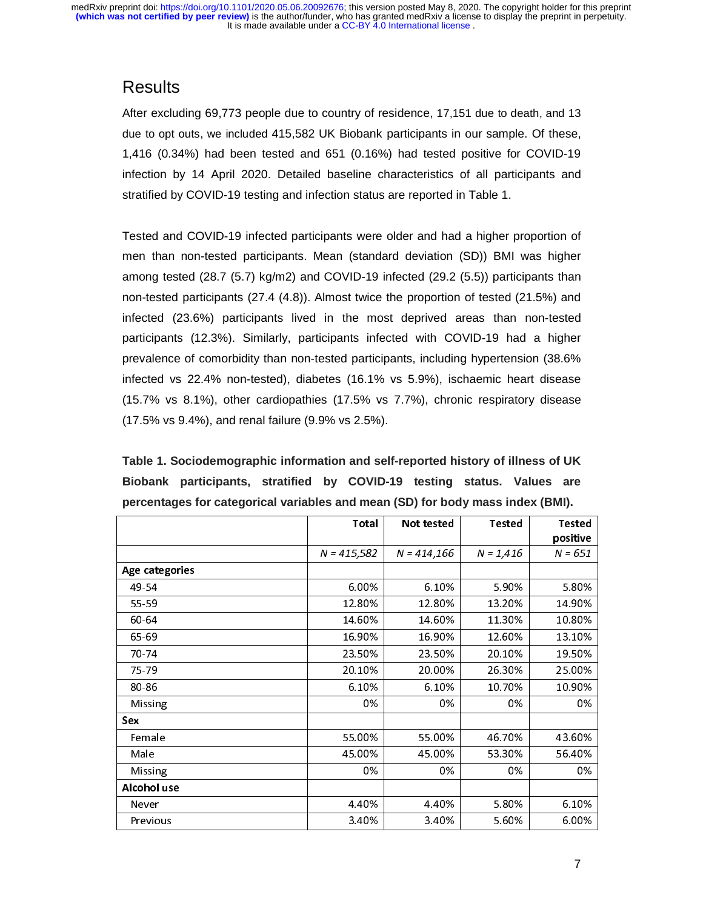# **Results**

After excluding 69,773 people due to country of residence, 17,151 due to death, and 13 due to opt outs, we included 415,582 UK Biobank participants in our sample. Of these, 1,416 (0.34%) had been tested and 651 (0.16%) had tested positive for COVID-19 infection by 14 April 2020. Detailed baseline characteristics of all participants and stratified by COVID-19 testing and infection status are reported in Table 1.

Tested and COVID-19 infected participants were older and had a higher proportion of men than non-tested participants. Mean (standard deviation (SD)) BMI was higher among tested (28.7 (5.7) kg/m2) and COVID-19 infected (29.2 (5.5)) participants than non-tested participants (27.4 (4.8)). Almost twice the proportion of tested (21.5%) and infected (23.6%) participants lived in the most deprived areas than non-tested participants (12.3%). Similarly, participants infected with COVID-19 had a higher prevalence of comorbidity than non-tested participants, including hypertension (38.6% infected vs 22.4% non-tested), diabetes (16.1% vs 5.9%), ischaemic heart disease (15.7% vs 8.1%), other cardiopathies (17.5% vs 7.7%), chronic respiratory disease (17.5% vs 9.4%), and renal failure (9.9% vs 2.5%).

**Table 1. Sociodemographic information and self-reported history of illness of UK Biobank participants, stratified by COVID-19 testing status. Values are percentages for categorical variables and mean (SD) for body mass index (BMI).** 

|                | Total         | Not tested    | <b>Tested</b> | <b>Tested</b> |
|----------------|---------------|---------------|---------------|---------------|
|                |               |               |               | positive      |
|                | $N = 415,582$ | $N = 414,166$ | $N = 1,416$   | $N = 651$     |
| Age categories |               |               |               |               |
| 49 54          | 6.00%         | 6.10%         | 5.90%         | 5.80%         |
| 55-59          | 12.80%        | 12.80%        | 13.20%        | 14.90%        |
| 60-64          | 14.60%        | 14.60%        | 11.30%        | 10.80%        |
| 65 69          | 16.90%        | 16.90%        | 12.60%        | 13.10%        |
| 70 74          | 23.50%        | 23.50%        | 20.10%        | 19.50%        |
| 75 79          | 20.10%        | 20.00%        | 26.30%        | 25.00%        |
| 80-86          | 6.10%         | 6.10%         | 10.70%        | 10.90%        |
| Missing        | 0%            | 0%            | 0%            | 0%            |
| Sex            |               |               |               |               |
| Female         | 55.00%        | 55.00%        | 46.70%        | 43.60%        |
| Male           | 45.00%        | 45.00%        | 53.30%        | 56 40%        |
| Missing        | 0%            | 0%            | 0%            | 0%            |
| Alcohol use    |               |               |               |               |
| Never          | 4 4 0 %       | 440%          | 5.80%         | 6.10%         |
| Previous       | 3.40%         | 3.40%         | 5.60%         | 6.00%         |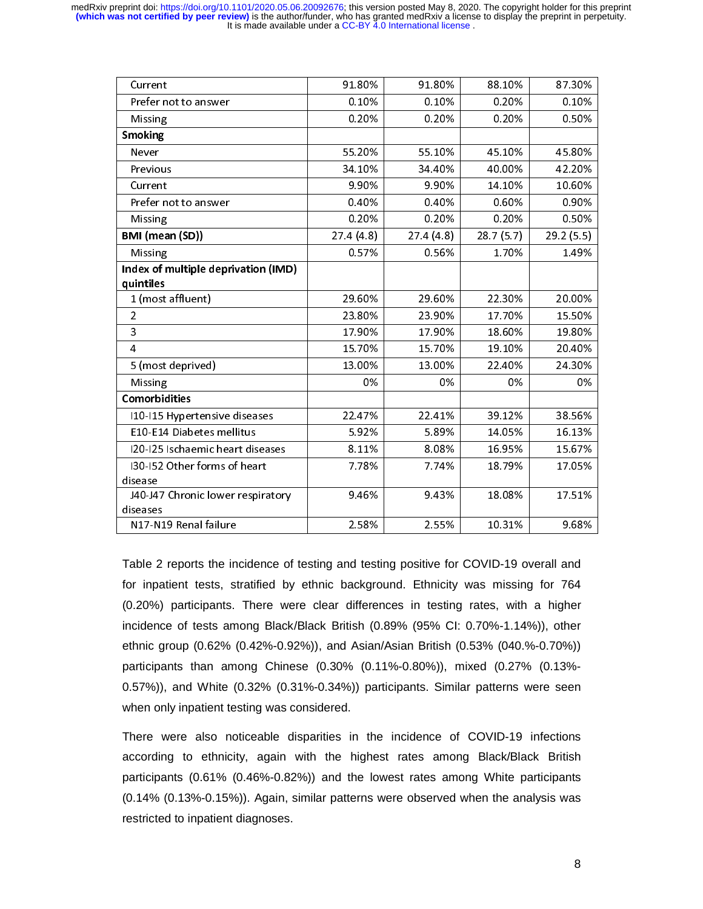| Current                                       | 91.80%    | 91.80%    | 88.10%    | 87.30%    |
|-----------------------------------------------|-----------|-----------|-----------|-----------|
| Prefer not to answer                          | 0.10%     | 0.10%     | 0.20%     | 0.10%     |
| Missing                                       | 0.20%     | 0.20%     | 0.20%     | 0.50%     |
| Smoking                                       |           |           |           |           |
| Never                                         | 55.20%    | 55 10%    | 45.10%    | 45.80%    |
| Previous                                      | 34.10%    | 34.40%    | 40.00%    | 42.20%    |
| Current                                       | 9.90%     | 9.90%     | 14.10%    | 10.60%    |
| Prefer not to answer                          | 0.40%     | 0.40%     | 0.60%     | 0.90%     |
| Missing                                       | 0.20%     | 0.20%     | 0.20%     | 0.50%     |
| BMI (mean (SD))                               | 27.4(4.8) | 27.4(4.8) | 28.7(5.7) | 29.2(5.5) |
| Missing                                       | 0.57%     | 0.56%     | 1.70%     | 1.49%     |
| Index of multiple deprivation (IMD)           |           |           |           |           |
| quintiles                                     |           |           |           |           |
| 1 (most affluent)                             | 29.60%    | 29.60%    | 22.30%    | 20.00%    |
| $\overline{2}$                                | 23.80%    | 23.90%    | 17.70%    | 15.50%    |
| 3                                             | 17.90%    | 17.90%    | 18.60%    | 19.80%    |
| $\overline{4}$                                | 15.70%    | 15.70%    | 19.10%    | 20.40%    |
| 5 (most deprived)                             | 13.00%    | 13.00%    | 22.40%    | 24.30%    |
| Missing                                       | 0%        | 0%        | 0%        | 0%        |
| Comorbidities                                 |           |           |           |           |
| I10-I15 Hypertensive diseases                 | 22 4 7%   | 2241%     | 39.12%    | 38.56%    |
| E10-E14 Diabetes mellitus                     | 5.92%     | 5.89%     | 14.05%    | 16.13%    |
| 120-125 Ischaemic heart diseases              | 8.11%     | 8.08%     | 16.95%    | 15.67%    |
| 130-152 Other forms of heart<br>disease       | 7.78%     | 7.74%     | 18.79%    | 17.05%    |
| J40-J47 Chronic lower respiratory<br>diseases | 9.46%     | 9.43%     | 18.08%    | 17.51%    |
| N17-N19 Renal failure                         | 2.58%     | 2.55%     | 10.31%    | 9.68%     |

Table 2 reports the incidence of testing and testing positive for COVID-19 overall and for inpatient tests, stratified by ethnic background. Ethnicity was missing for 764 (0.20%) participants. There were clear differences in testing rates, with a higher incidence of tests among Black/Black British (0.89% (95% CI: 0.70%-1.14%)), other ethnic group (0.62% (0.42%-0.92%)), and Asian/Asian British (0.53% (040.%-0.70%)) participants than among Chinese (0.30% (0.11%-0.80%)), mixed (0.27% (0.13%- 0.57%)), and White (0.32% (0.31%-0.34%)) participants. Similar patterns were seen when only inpatient testing was considered.

There were also noticeable disparities in the incidence of COVID-19 infections according to ethnicity, again with the highest rates among Black/Black British participants (0.61% (0.46%-0.82%)) and the lowest rates among White participants (0.14% (0.13%-0.15%)). Again, similar patterns were observed when the analysis was restricted to inpatient diagnoses.

8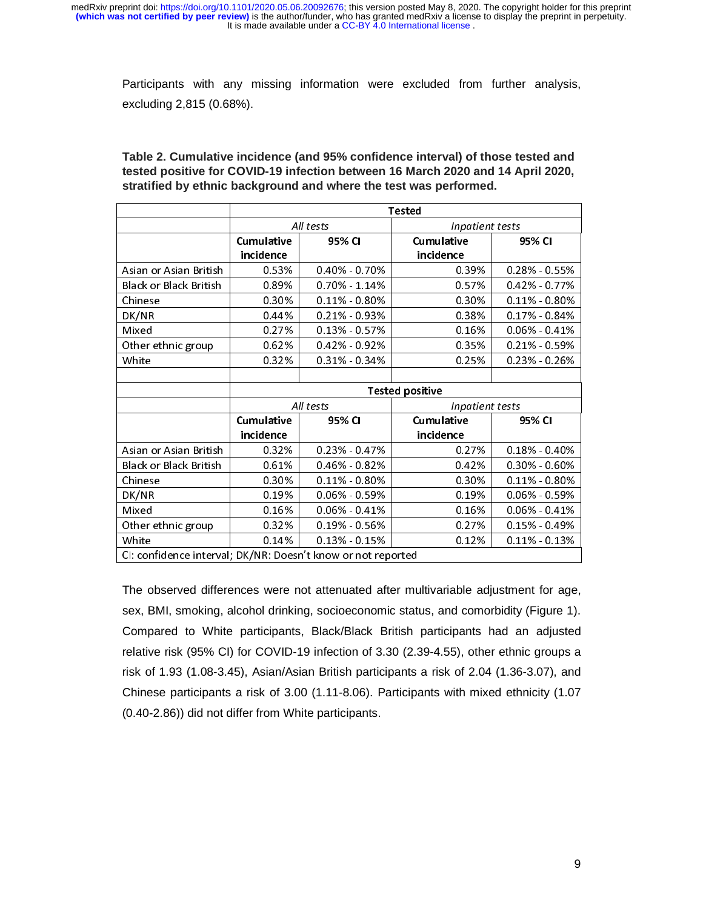It is made available under a CC-BY 4.0 International license. **(which was not certified by peer review)** is the author/funder, who has granted medRxiv a license to display the preprint in perpetuity. medRxiv preprint doi: [https://doi.org/10.1101/2020.05.06.20092676;](https://doi.org/10.1101/2020.05.06.20092676) this version posted May 8, 2020. The copyright holder for this preprint

Participants with any missing information were excluded from further analysis, excluding 2,815 (0.68%).

|                                                              | Tested                       |                   |                                |                   |
|--------------------------------------------------------------|------------------------------|-------------------|--------------------------------|-------------------|
|                                                              | All tests                    |                   | Inpatient tests                |                   |
|                                                              | Cumulative<br>incidence      | 95% CI            | <b>Cumulative</b><br>incidence | 95% CI            |
| Asian or Asian British                                       | 0.53%                        | 0.40% 0.70%       | 0.39%                          | 0.28% 0.55%       |
| <b>Black or Black British</b>                                | 0.89%                        | 0.70% 1.14%       | 0.57%                          | 0.42% 0.77%       |
| Chinese                                                      | 0.30%                        | $0.11\%$ 0.80%    | 0.30%                          | 0.11% 0.80%       |
| DK/NR                                                        | 0.44%                        | 0.21% 0.93%       | 0.38%                          | $0.17\% - 0.84\%$ |
| Mixed                                                        | 0.27%                        | 0.13% 0.57%       | 0.16%                          | $0.06\% - 0.41\%$ |
| Other ethnic group                                           | 0.62%                        | 0.42% 0.92%       | 0.35%                          | $0.21\% - 0.59\%$ |
| White                                                        | 0.32%                        | 0.31% 0.34%       | 0.25%                          | $0.23\% - 0.26\%$ |
|                                                              |                              |                   |                                |                   |
|                                                              |                              |                   | <b>Tested positive</b>         |                   |
|                                                              | All tests<br>Inpatient tests |                   |                                |                   |
|                                                              | Cumulative                   | 95% CI            | Cumulative                     | 95% CI            |
|                                                              | incidence                    |                   | incidence                      |                   |
| Asian or Asian British                                       | 0.32%                        | 0.23% 0.47%       | 0.27%                          | 0.18% 0.40%       |
| <b>Black or Black British</b>                                | 0.61%                        | $0.46\% - 0.82\%$ | 0.42%                          | $0.30\% - 0.60\%$ |
| Chinese                                                      | 0.30%                        | 0.11% 0.80%       | 0.30%                          | 0 11% 0 80%       |
| DK/NR                                                        | 0.19%                        | $0.06\% - 0.59\%$ | 0.19%                          | 0.06% 0.59%       |
| Mixed                                                        | 0.16%                        | $0.06\% - 0.41\%$ | 0.16%                          | $0.06\%$ 0.41%    |
| Other ethnic group                                           | 0.32%                        | $0.19\%$ 0.56%    | 0.27%                          | $0.15\% - 0.49\%$ |
| White                                                        | 0.14%                        | 0.13% 0.15%       | 0.12%                          | $0.11\% - 0.13\%$ |
| CI: confidence interval; DK/NR: Doesn't know or not reported |                              |                   |                                |                   |

**Table 2. Cumulative incidence (and 95% confidence interval) of those tested and tested positive for COVID-19 infection between 16 March 2020 and 14 April 2020, stratified by ethnic background and where the test was performed.** 

The observed differences were not attenuated after multivariable adjustment for age, sex, BMI, smoking, alcohol drinking, socioeconomic status, and comorbidity (Figure 1). Compared to White participants, Black/Black British participants had an adjusted relative risk (95% CI) for COVID-19 infection of 3.30 (2.39-4.55), other ethnic groups a risk of 1.93 (1.08-3.45), Asian/Asian British participants a risk of 2.04 (1.36-3.07), and Chinese participants a risk of 3.00 (1.11-8.06). Participants with mixed ethnicity (1.07 (0.40-2.86)) did not differ from White participants.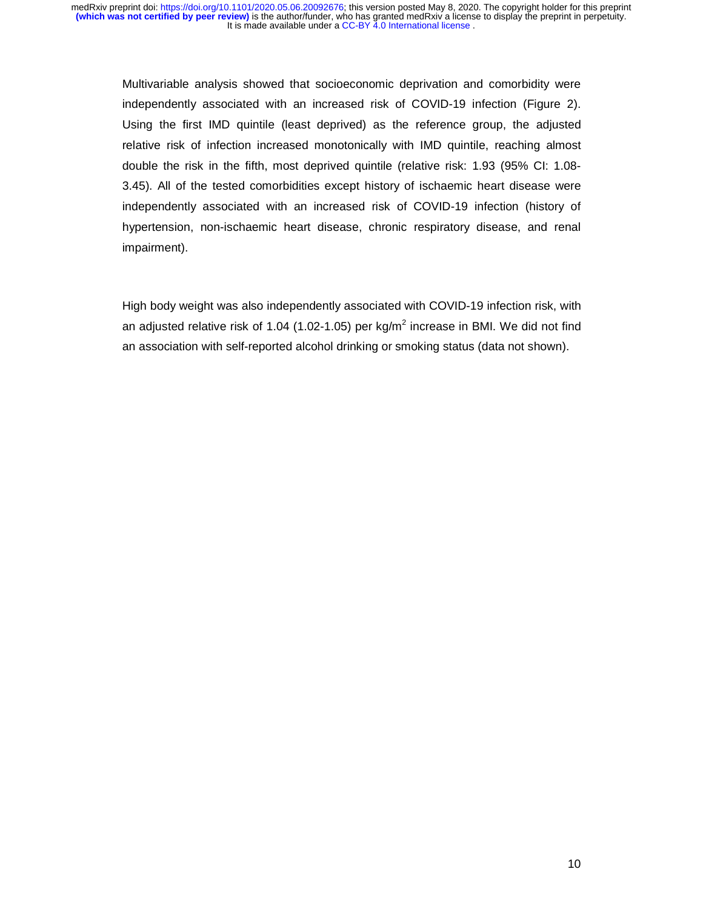Multivariable analysis showed that socioeconomic deprivation and comorbidity were independently associated with an increased risk of COVID-19 infection (Figure 2). Using the first IMD quintile (least deprived) as the reference group, the adjusted relative risk of infection increased monotonically with IMD quintile, reaching almost double the risk in the fifth, most deprived quintile (relative risk: 1.93 (95% CI: 1.08- 3.45). All of the tested comorbidities except history of ischaemic heart disease were independently associated with an increased risk of COVID-19 infection (history of hypertension, non-ischaemic heart disease, chronic respiratory disease, and renal impairment).

High body weight was also independently associated with COVID-19 infection risk, with an adjusted relative risk of 1.04 (1.02-1.05) per kg/m<sup>2</sup> increase in BMI. We did not find an association with self-reported alcohol drinking or smoking status (data not shown).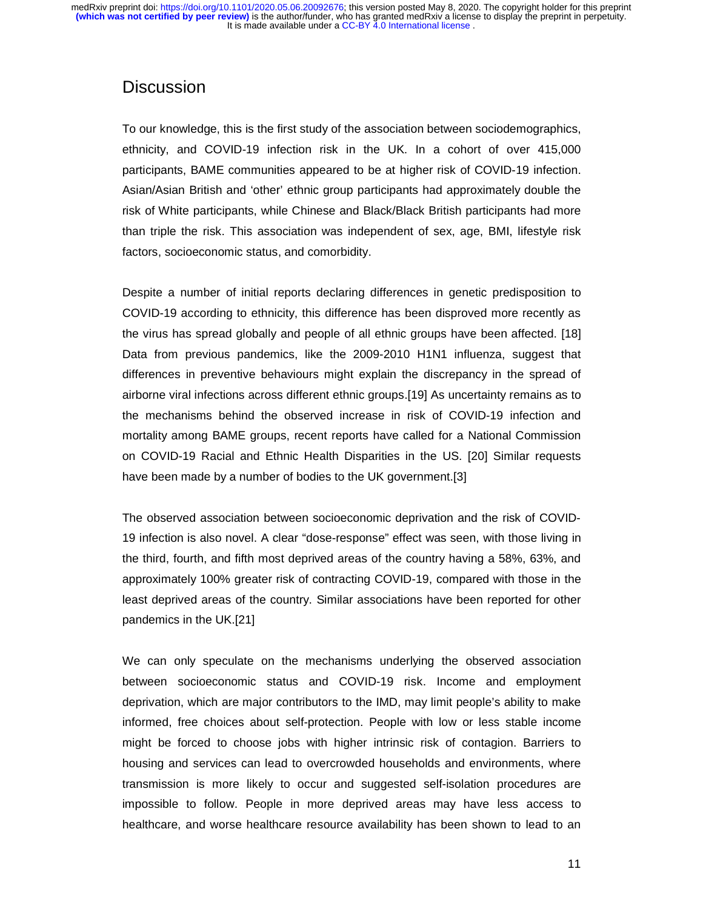# **Discussion**

To our knowledge, this is the first study of the association between sociodemographics, ethnicity, and COVID-19 infection risk in the UK. In a cohort of over 415,000 participants, BAME communities appeared to be at higher risk of COVID-19 infection. Asian/Asian British and 'other' ethnic group participants had approximately double the risk of White participants, while Chinese and Black/Black British participants had more than triple the risk. This association was independent of sex, age, BMI, lifestyle risk factors, socioeconomic status, and comorbidity.

Despite a number of initial reports declaring differences in genetic predisposition to COVID-19 according to ethnicity, this difference has been disproved more recently as the virus has spread globally and people of all ethnic groups have been affected. [18] Data from previous pandemics, like the 2009-2010 H1N1 influenza, suggest that differences in preventive behaviours might explain the discrepancy in the spread of airborne viral infections across different ethnic groups.[19] As uncertainty remains as to the mechanisms behind the observed increase in risk of COVID-19 infection and mortality among BAME groups, recent reports have called for a National Commission on COVID-19 Racial and Ethnic Health Disparities in the US. [20] Similar requests have been made by a number of bodies to the UK government.[3]

The observed association between socioeconomic deprivation and the risk of COVID-19 infection is also novel. A clear "dose-response" effect was seen, with those living in the third, fourth, and fifth most deprived areas of the country having a 58%, 63%, and approximately 100% greater risk of contracting COVID-19, compared with those in the least deprived areas of the country. Similar associations have been reported for other pandemics in the UK.[21]

We can only speculate on the mechanisms underlying the observed association between socioeconomic status and COVID-19 risk. Income and employment deprivation, which are major contributors to the IMD, may limit people's ability to make informed, free choices about self-protection. People with low or less stable income might be forced to choose jobs with higher intrinsic risk of contagion. Barriers to housing and services can lead to overcrowded households and environments, where transmission is more likely to occur and suggested self-isolation procedures are impossible to follow. People in more deprived areas may have less access to healthcare, and worse healthcare resource availability has been shown to lead to an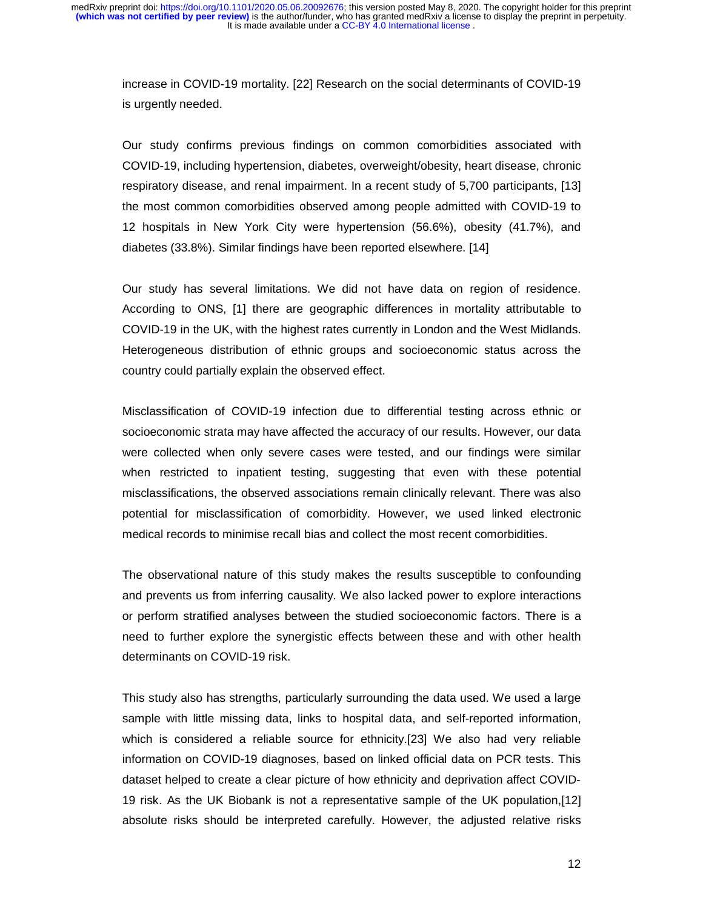increase in COVID-19 mortality. [22] Research on the social determinants of COVID-19 is urgently needed.

Our study confirms previous findings on common comorbidities associated with COVID-19, including hypertension, diabetes, overweight/obesity, heart disease, chronic respiratory disease, and renal impairment. In a recent study of 5,700 participants, [13] the most common comorbidities observed among people admitted with COVID-19 to 12 hospitals in New York City were hypertension (56.6%), obesity (41.7%), and diabetes (33.8%). Similar findings have been reported elsewhere. [14]

Our study has several limitations. We did not have data on region of residence. According to ONS, [1] there are geographic differences in mortality attributable to COVID-19 in the UK, with the highest rates currently in London and the West Midlands. Heterogeneous distribution of ethnic groups and socioeconomic status across the country could partially explain the observed effect.

Misclassification of COVID-19 infection due to differential testing across ethnic or socioeconomic strata may have affected the accuracy of our results. However, our data were collected when only severe cases were tested, and our findings were similar when restricted to inpatient testing, suggesting that even with these potential misclassifications, the observed associations remain clinically relevant. There was also potential for misclassification of comorbidity. However, we used linked electronic medical records to minimise recall bias and collect the most recent comorbidities.

The observational nature of this study makes the results susceptible to confounding and prevents us from inferring causality. We also lacked power to explore interactions or perform stratified analyses between the studied socioeconomic factors. There is a need to further explore the synergistic effects between these and with other health determinants on COVID-19 risk.

This study also has strengths, particularly surrounding the data used. We used a large sample with little missing data, links to hospital data, and self-reported information, which is considered a reliable source for ethnicity.[23] We also had very reliable information on COVID-19 diagnoses, based on linked official data on PCR tests. This dataset helped to create a clear picture of how ethnicity and deprivation affect COVID-19 risk. As the UK Biobank is not a representative sample of the UK population,[12] absolute risks should be interpreted carefully. However, the adjusted relative risks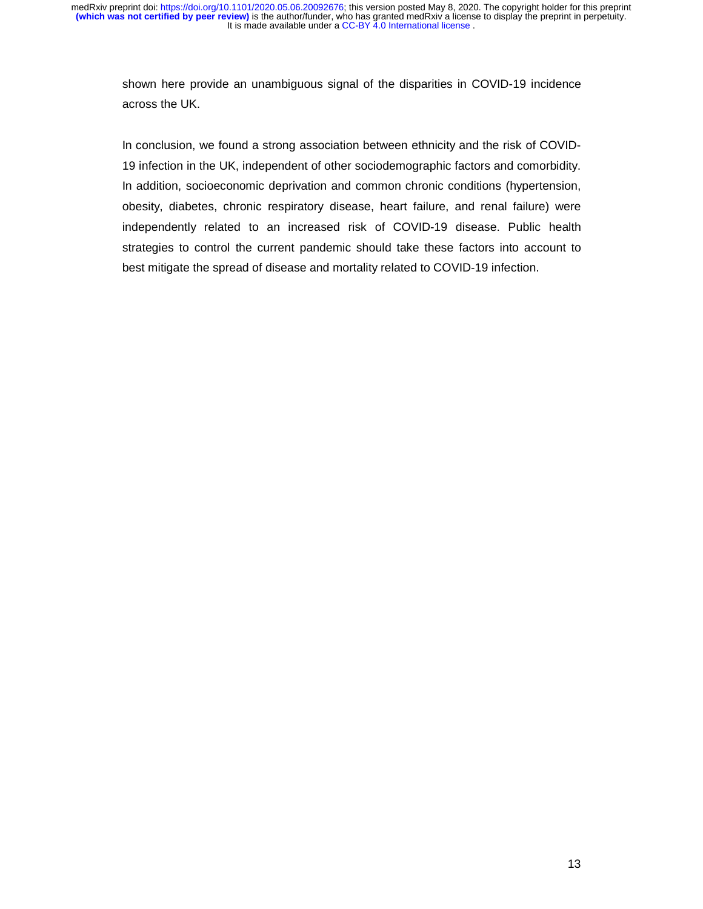shown here provide an unambiguous signal of the disparities in COVID-19 incidence across the UK.

In conclusion, we found a strong association between ethnicity and the risk of COVID-19 infection in the UK, independent of other sociodemographic factors and comorbidity. In addition, socioeconomic deprivation and common chronic conditions (hypertension, obesity, diabetes, chronic respiratory disease, heart failure, and renal failure) were independently related to an increased risk of COVID-19 disease. Public health strategies to control the current pandemic should take these factors into account to best mitigate the spread of disease and mortality related to COVID-19 infection.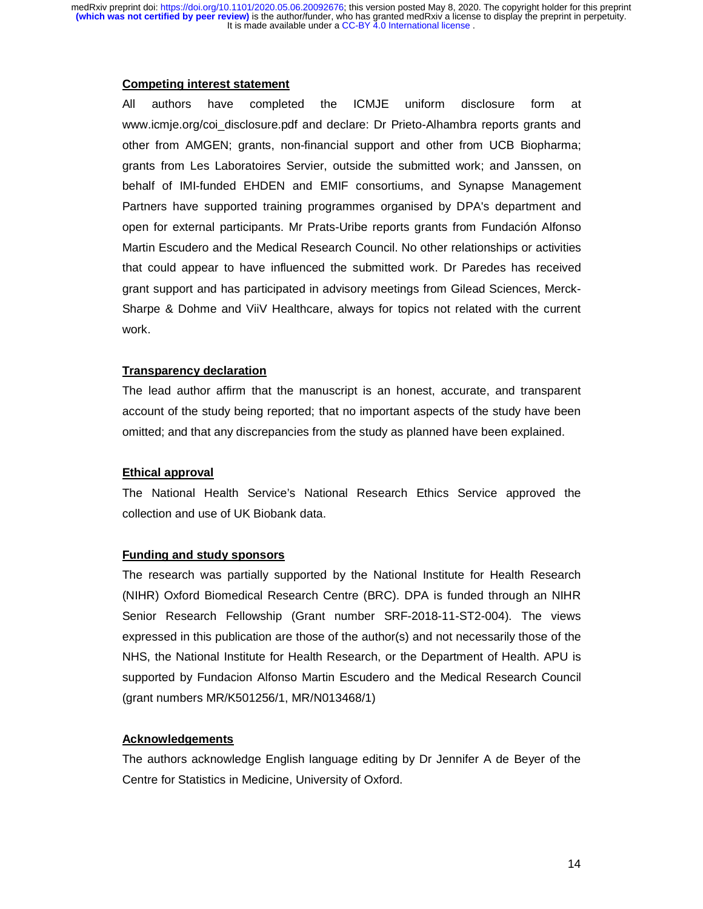#### **Competing interest statement**

All authors have completed the ICMJE uniform disclosure form at www.icmje.org/coi\_disclosure.pdf and declare: Dr Prieto-Alhambra reports grants and other from AMGEN; grants, non-financial support and other from UCB Biopharma; grants from Les Laboratoires Servier, outside the submitted work; and Janssen, on behalf of IMI-funded EHDEN and EMIF consortiums, and Synapse Management Partners have supported training programmes organised by DPA's department and open for external participants. Mr Prats-Uribe reports grants from Fundación Alfonso Martin Escudero and the Medical Research Council. No other relationships or activities that could appear to have influenced the submitted work. Dr Paredes has received grant support and has participated in advisory meetings from Gilead Sciences, Merck-Sharpe & Dohme and ViiV Healthcare, always for topics not related with the current work.

## **Transparency declaration**

The lead author affirm that the manuscript is an honest, accurate, and transparent account of the study being reported; that no important aspects of the study have been omitted; and that any discrepancies from the study as planned have been explained.

# **Ethical approval**

The National Health Service's National Research Ethics Service approved the collection and use of UK Biobank data.

## **Funding and study sponsors**

The research was partially supported by the National Institute for Health Research (NIHR) Oxford Biomedical Research Centre (BRC). DPA is funded through an NIHR Senior Research Fellowship (Grant number SRF-2018-11-ST2-004). The views expressed in this publication are those of the author(s) and not necessarily those of the NHS, the National Institute for Health Research, or the Department of Health. APU is supported by Fundacion Alfonso Martin Escudero and the Medical Research Council (grant numbers MR/K501256/1, MR/N013468/1)

# **Acknowledgements**

The authors acknowledge English language editing by Dr Jennifer A de Beyer of the Centre for Statistics in Medicine, University of Oxford.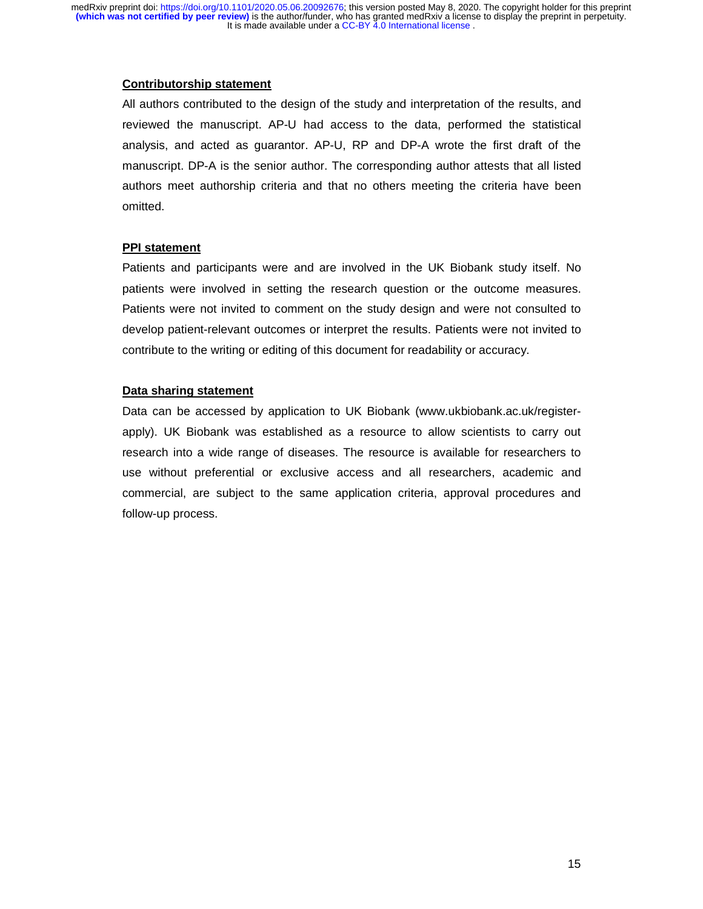### **Contributorship statement**

All authors contributed to the design of the study and interpretation of the results, and reviewed the manuscript. AP-U had access to the data, performed the statistical analysis, and acted as guarantor. AP-U, RP and DP-A wrote the first draft of the manuscript. DP-A is the senior author. The corresponding author attests that all listed authors meet authorship criteria and that no others meeting the criteria have been omitted.

## **PPI statement**

Patients and participants were and are involved in the UK Biobank study itself. No patients were involved in setting the research question or the outcome measures. Patients were not invited to comment on the study design and were not consulted to develop patient-relevant outcomes or interpret the results. Patients were not invited to contribute to the writing or editing of this document for readability or accuracy.

### **Data sharing statement**

Data can be accessed by application to UK Biobank (www.ukbiobank.ac.uk/registerapply). UK Biobank was established as a resource to allow scientists to carry out research into a wide range of diseases. The resource is available for researchers to use without preferential or exclusive access and all researchers, academic and commercial, are subject to the same application criteria, approval procedures and follow-up process.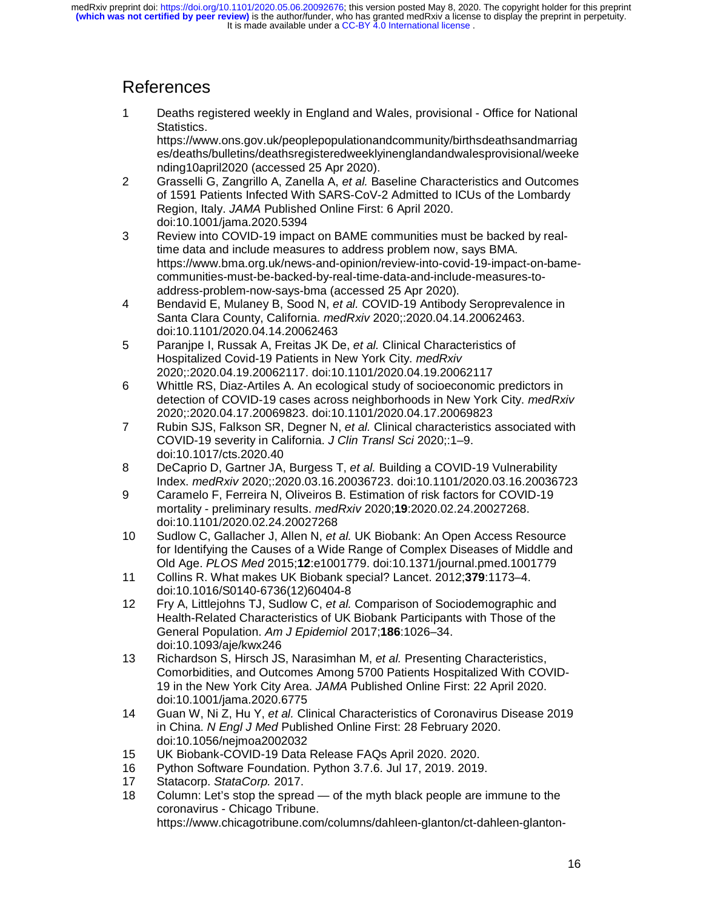# References

1 Deaths registered weekly in England and Wales, provisional - Office for National Statistics.

https://www.ons.gov.uk/peoplepopulationandcommunity/birthsdeathsandmarriag es/deaths/bulletins/deathsregisteredweeklyinenglandandwalesprovisional/weeke nding10april2020 (accessed 25 Apr 2020).

- 2 Grasselli G, Zangrillo A, Zanella A, *et al.* Baseline Characteristics and Outcomes of 1591 Patients Infected With SARS-CoV-2 Admitted to ICUs of the Lombardy Region, Italy. *JAMA* Published Online First: 6 April 2020. doi:10.1001/jama.2020.5394
- 3 Review into COVID-19 impact on BAME communities must be backed by realtime data and include measures to address problem now, says BMA. https://www.bma.org.uk/news-and-opinion/review-into-covid-19-impact-on-bamecommunities-must-be-backed-by-real-time-data-and-include-measures-toaddress-problem-now-says-bma (accessed 25 Apr 2020).
- 4 Bendavid E, Mulaney B, Sood N, *et al.* COVID-19 Antibody Seroprevalence in Santa Clara County, California. *medRxiv* 2020;:2020.04.14.20062463. doi:10.1101/2020.04.14.20062463
- 5 Paranjpe I, Russak A, Freitas JK De, *et al.* Clinical Characteristics of Hospitalized Covid-19 Patients in New York City. *medRxiv* 2020;:2020.04.19.20062117. doi:10.1101/2020.04.19.20062117
- 6 Whittle RS, Diaz-Artiles A. An ecological study of socioeconomic predictors in detection of COVID-19 cases across neighborhoods in New York City. *medRxiv* 2020;:2020.04.17.20069823. doi:10.1101/2020.04.17.20069823
- 7 Rubin SJS, Falkson SR, Degner N, *et al.* Clinical characteristics associated with COVID-19 severity in California. *J Clin Transl Sci* 2020;:1–9. doi:10.1017/cts.2020.40
- 8 DeCaprio D, Gartner JA, Burgess T, *et al.* Building a COVID-19 Vulnerability Index. *medRxiv* 2020;:2020.03.16.20036723. doi:10.1101/2020.03.16.20036723
- 9 Caramelo F, Ferreira N, Oliveiros B. Estimation of risk factors for COVID-19 mortality - preliminary results. *medRxiv* 2020;**19**:2020.02.24.20027268. doi:10.1101/2020.02.24.20027268
- 10 Sudlow C, Gallacher J, Allen N, *et al.* UK Biobank: An Open Access Resource for Identifying the Causes of a Wide Range of Complex Diseases of Middle and Old Age. *PLOS Med* 2015;**12**:e1001779. doi:10.1371/journal.pmed.1001779
- 11 Collins R. What makes UK Biobank special? Lancet. 2012;**379**:1173–4. doi:10.1016/S0140-6736(12)60404-8
- 12 Fry A, Littlejohns TJ, Sudlow C, *et al.* Comparison of Sociodemographic and Health-Related Characteristics of UK Biobank Participants with Those of the General Population. *Am J Epidemiol* 2017;**186**:1026–34. doi:10.1093/aje/kwx246
- 13 Richardson S, Hirsch JS, Narasimhan M, *et al.* Presenting Characteristics, Comorbidities, and Outcomes Among 5700 Patients Hospitalized With COVID-19 in the New York City Area. *JAMA* Published Online First: 22 April 2020. doi:10.1001/jama.2020.6775
- 14 Guan W, Ni Z, Hu Y, *et al.* Clinical Characteristics of Coronavirus Disease 2019 in China. *N Engl J Med* Published Online First: 28 February 2020. doi:10.1056/nejmoa2002032
- 15 UK Biobank-COVID-19 Data Release FAQs April 2020. 2020.
- 16 Python Software Foundation. Python 3.7.6. Jul 17, 2019. 2019.
- 17 Statacorp. *StataCorp.* 2017.
- 18 Column: Let's stop the spread of the myth black people are immune to the coronavirus - Chicago Tribune.

https://www.chicagotribune.com/columns/dahleen-glanton/ct-dahleen-glanton-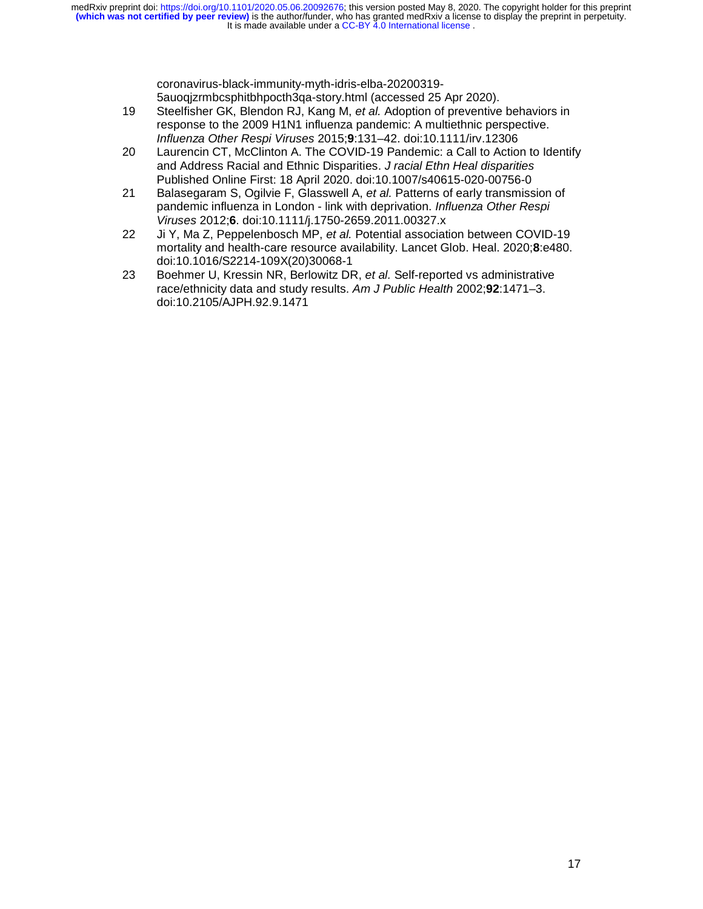It is made available under a CC-BY 4.0 International license. **(which was not certified by peer review)** is the author/funder, who has granted medRxiv a license to display the preprint in perpetuity. medRxiv preprint doi: [https://doi.org/10.1101/2020.05.06.20092676;](https://doi.org/10.1101/2020.05.06.20092676) this version posted May 8, 2020. The copyright holder for this preprint

> coronavirus-black-immunity-myth-idris-elba-20200319- 5auoqjzrmbcsphitbhpocth3qa-story.html (accessed 25 Apr 2020).

- 19 Steelfisher GK, Blendon RJ, Kang M, *et al.* Adoption of preventive behaviors in response to the 2009 H1N1 influenza pandemic: A multiethnic perspective. *Influenza Other Respi Viruses* 2015;**9**:131–42. doi:10.1111/irv.12306
- 20 Laurencin CT, McClinton A. The COVID-19 Pandemic: a Call to Action to Identify and Address Racial and Ethnic Disparities. *J racial Ethn Heal disparities* Published Online First: 18 April 2020. doi:10.1007/s40615-020-00756-0
- 21 Balasegaram S, Ogilvie F, Glasswell A, *et al.* Patterns of early transmission of pandemic influenza in London - link with deprivation. *Influenza Other Respi Viruses* 2012;**6**. doi:10.1111/j.1750-2659.2011.00327.x
- 22 Ji Y, Ma Z, Peppelenbosch MP, *et al.* Potential association between COVID-19 mortality and health-care resource availability. Lancet Glob. Heal. 2020;**8**:e480. doi:10.1016/S2214-109X(20)30068-1
- 23 Boehmer U, Kressin NR, Berlowitz DR, *et al.* Self-reported vs administrative race/ethnicity data and study results. *Am J Public Health* 2002;**92**:1471–3. doi:10.2105/AJPH.92.9.1471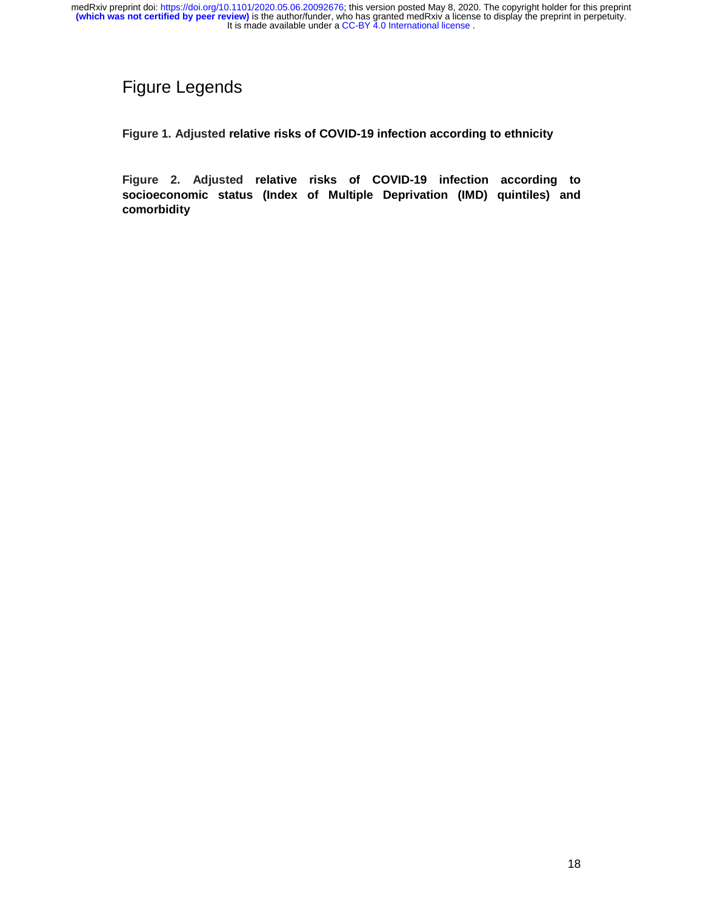# Figure Legends

**Figure 1. Adjusted relative risks of COVID-19 infection according to ethnicity** 

**Figure 2. Adjusted relative risks of COVID-19 infection according to socioeconomic status (Index of Multiple Deprivation (IMD) quintiles) and comorbidity**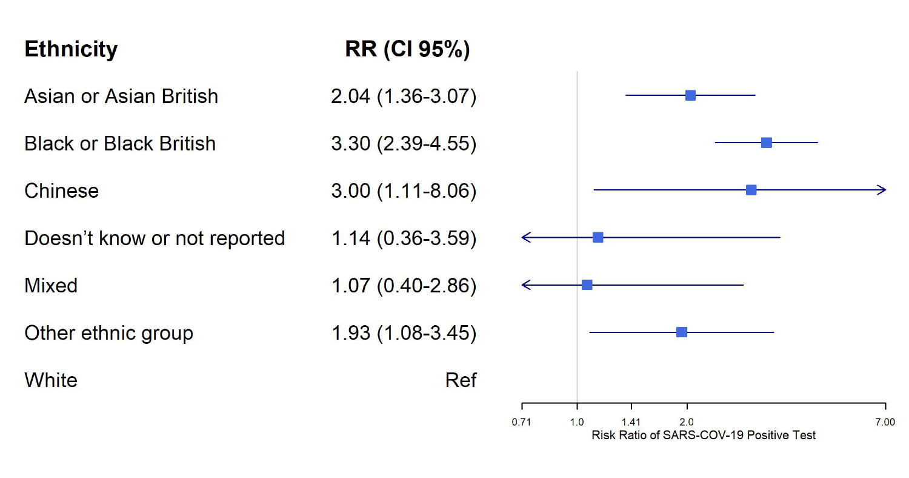| <b>Ethnicity</b>              | <b>RR (CI 95%)</b> |                                         |
|-------------------------------|--------------------|-----------------------------------------|
| Asian or Asian British        | $2.04(1.36-3.07)$  |                                         |
| <b>Black or Black British</b> | $3.30(2.39-4.55)$  |                                         |
| Chinese                       | $3.00(1.11-8.06)$  |                                         |
| Doesn't know or not reported  | $1.14(0.36-3.59)$  |                                         |
| <b>Mixed</b>                  | $1.07(0.40-2.86)$  |                                         |
| Other ethnic group            | 1.93 (1.08-3.45)   |                                         |
| White                         | <b>Ref</b>         |                                         |
|                               |                    | 7.00<br>0.71<br>1.41<br>1.0<br>2.0      |
|                               |                    | Risk Ratio of SARS-COV-19 Positive Test |